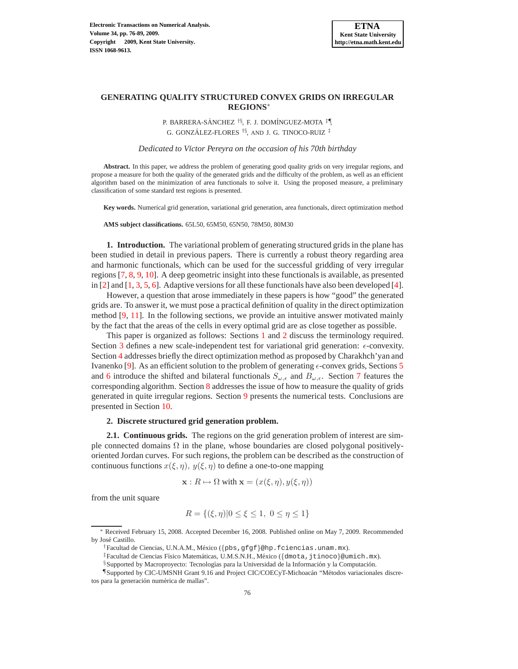# **GENERATING QUALITY STRUCTURED CONVEX GRIDS ON IRREGULAR REGIONS**<sup>∗</sup>

P. BARRERA-SÁNCHEZ<sup>†§</sup>, F. J. DOMÍNGUEZ-MOTA<sup>‡¶</sup>, G. GONZÁLEZ-FLORES  $^{\dagger \S},$  and J. G. TINOCO-RUIZ  $^{\ddagger}$ 

*Dedicated to V´ıctor Pereyra on the occasion of his 70th birthday*

**Abstract.** In this paper, we address the problem of generating good quality grids on very irregular regions, and propose a measure for both the quality of the generated grids and the difficulty of the problem, as well as an efficient algorithm based on the minimization of area functionals to solve it. Using the proposed measure, a preliminary classification of some standard test regions is presented.

**Key words.** Numerical grid generation, variational grid generation, area functionals, direct optimization method

**AMS subject classifications.** 65L50, 65M50, 65N50, 78M50, 80M30

<span id="page-0-0"></span>**1. Introduction.** The variational problem of generating structured grids in the plane has been studied in detail in previous papers. There is currently a robust theory regarding area and harmonic functionals, which can be used for the successful gridding of very irregular regions [\[7,](#page-12-0) [8,](#page-12-1) [9,](#page-12-2) [10\]](#page-12-3). A deep geometric insight into these functionals is available, as presented in [\[2\]](#page-11-0) and  $[1, 3, 5, 6]$  $[1, 3, 5, 6]$  $[1, 3, 5, 6]$  $[1, 3, 5, 6]$  $[1, 3, 5, 6]$  $[1, 3, 5, 6]$ . Adaptive versions for all these functionals have also been developed [\[4\]](#page-11-4).

However, a question that arose immediately in these papers is how "good" the generated grids are. To answer it, we must pose a practical definition of quality in the direct optimization method [\[9,](#page-12-2) [11\]](#page-12-5). In the following sections, we provide an intuitive answer motivated mainly by the fact that the areas of the cells in every optimal grid are as close together as possible.

This paper is organized as follows: Sections [1](#page-0-0) and [2](#page-0-1) discuss the terminology required. Section [3](#page-3-0) defines a new scale-independent test for variational grid generation:  $\epsilon$ -convexity. Section [4](#page-3-1) addresses briefly the direct optimization method as proposed by Charakhch'yan and Ivanenko [\[9\]](#page-12-2). As an efficient solution to the problem of generating  $\epsilon$ -convex grids, Sections [5](#page-4-0) and [6](#page-5-0) introduce the shifted and bilateral functionals  $S_{\omega,\epsilon}$  and  $B_{\omega,\epsilon}$ . Section [7](#page-6-0) features the corresponding algorithm. Section [8](#page-7-0) addresses the issue of how to measure the quality of grids generated in quite irregular regions. Section [9](#page-7-1) presents the numerical tests. Conclusions are presented in Section [10.](#page-10-0)

## <span id="page-0-1"></span>**2. Discrete structured grid generation problem.**

**2.1. Continuous grids.** The regions on the grid generation problem of interest are simple connected domains  $\Omega$  in the plane, whose boundaries are closed polygonal positivelyoriented Jordan curves. For such regions, the problem can be described as the construction of continuous functions  $x(\xi, \eta)$ ,  $y(\xi, \eta)$  to define a one-to-one mapping

$$
\mathbf{x}: R \mapsto \Omega \text{ with } \mathbf{x} = (x(\xi, \eta), y(\xi, \eta))
$$

from the unit square

$$
R = \{ (\xi, \eta) | 0 \le \xi \le 1, \ 0 \le \eta \le 1 \}
$$

Received February 15, 2008. Accepted December 16, 2008. Published online on May 7, 2009. Recommended by José Castillo.

<sup>†</sup>Facultad de Ciencias, U.N.A.M., M´exico ({pbs,gfgf}@hp.fciencias.unam.mx).

<sup>&</sup>lt;sup>‡</sup>Facultad de Ciencias Físico Matemáticas, U.M.S.N.H., México ({dmota,jtinoco}@umich.mx).

<sup>§</sup>Supported by Macroproyecto: Tecnologías para la Universidad de la Información y la Computación.

<sup>¶</sup>Supported by CIC-UMSNH Grant 9.16 and Project CIC/COECyT-Michoac´an "M´etodos variacionales discretos para la generación numérica de mallas".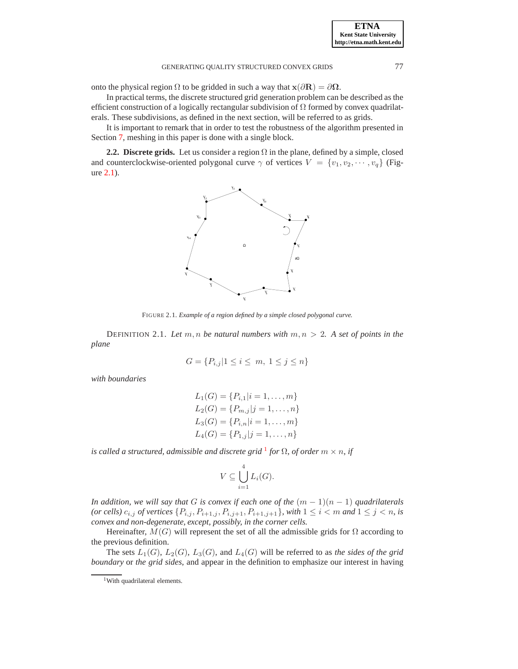onto the physical region  $\Omega$  to be gridded in such a way that  $\mathbf{x}(\partial \mathbf{R}) = \partial \Omega$ .

In practical terms, the discrete structured grid generation problem can be described as the efficient construction of a logically rectangular subdivision of  $\Omega$  formed by convex quadrilaterals. These subdivisions, as defined in the next section, will be referred to as grids.

It is important to remark that in order to test the robustness of the algorithm presented in Section [7,](#page-6-0) meshing in this paper is done with a single block.

**2.2. Discrete grids.** Let us consider a region  $\Omega$  in the plane, defined by a simple, closed and counterclockwise-oriented polygonal curve  $\gamma$  of vertices  $V = \{v_1, v_2, \dots, v_q\}$  (Figure [2.1\)](#page-1-0).



<span id="page-1-0"></span>FIGURE 2.1. *Example of a region defined by a simple closed polygonal curve.*

DEFINITION 2.1. Let  $m, n$  be natural numbers with  $m, n > 2$ . A set of points in the *plane*

$$
G = \{ P_{i,j} | 1 \le i \le m, \ 1 \le j \le n \}
$$

*with boundaries*

$$
L_1(G) = \{P_{i,1}|i = 1, ..., m\}
$$
  
\n
$$
L_2(G) = \{P_{m,j}|j = 1, ..., n\}
$$
  
\n
$$
L_3(G) = \{P_{i,n}|i = 1, ..., m\}
$$
  
\n
$$
L_4(G) = \{P_{1,j}|j = 1, ..., n\}
$$

*is called a structured, admissible and discrete grid* [1](#page-1-1) *for* Ω*, of order* m × n*, if*

$$
V \subseteq \bigcup_{i=1}^{4} L_i(G).
$$

*In addition, we will say that* G *is convex if each one of the*  $(m - 1)(n - 1)$  *quadrilaterals (or cells)*  $c_{i,j}$  *of vertices*  $\{P_{i,j}, P_{i+1,j}, P_{i,j+1}, P_{i+1,j+1}\}$ *, with*  $1 \le i < m$  *and*  $1 \le j < n$ *, is convex and non-degenerate, except, possibly, in the corner cells.*

Hereinafter,  $M(G)$  will represent the set of all the admissible grids for  $\Omega$  according to the previous definition.

The sets  $L_1(G)$ ,  $L_2(G)$ ,  $L_3(G)$ , and  $L_4(G)$  will be referred to as *the sides of the grid boundary* or *the grid sides*, and appear in the definition to emphasize our interest in having

<span id="page-1-1"></span><sup>&</sup>lt;sup>1</sup>With quadrilateral elements.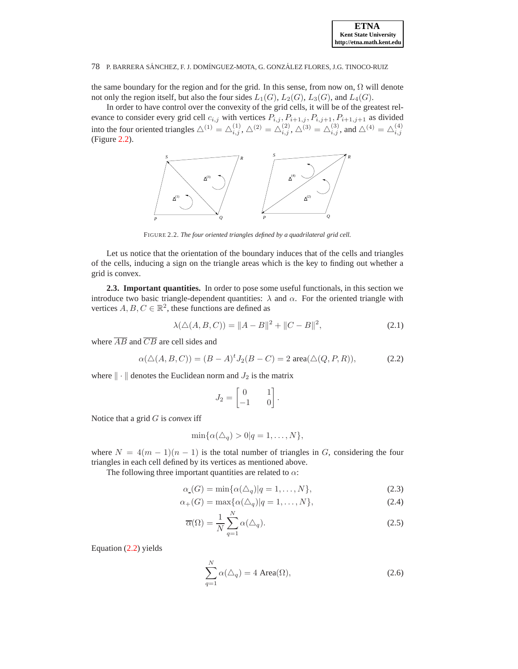

the same boundary for the region and for the grid. In this sense, from now on,  $\Omega$  will denote not only the region itself, but also the four sides  $L_1(G)$ ,  $L_2(G)$ ,  $L_3(G)$ , and  $L_4(G)$ .

In order to have control over the convexity of the grid cells, it will be of the greatest relevance to consider every grid cell  $c_{i,j}$  with vertices  $P_{i,j}, P_{i+1,j}, P_{i,j+1}, P_{i+1,j+1}$  as divided into the four oriented triangles  $\triangle^{(1)} = \triangle^{(1)}_{i,j}, \triangle^{(2)} = \triangle^{(2)}_{i,j}, \triangle^{(3)} = \triangle^{(3)}_{i,j}$ , and  $\triangle^{(4)} = \triangle^{(4)}_{i,j}$ (Figure [2.2\)](#page-2-0).



<span id="page-2-0"></span>FIGURE 2.2. *The four oriented triangles defined by a quadrilateral grid cell.*

Let us notice that the orientation of the boundary induces that of the cells and triangles of the cells, inducing a sign on the triangle areas which is the key to finding out whether a grid is convex.

**2.3. Important quantities.** In order to pose some useful functionals, in this section we introduce two basic triangle-dependent quantities:  $\lambda$  and  $\alpha$ . For the oriented triangle with vertices  $A, B, C \in \mathbb{R}^2$ , these functions are defined as

$$
\lambda(\Delta(A, B, C)) = ||A - B||^2 + ||C - B||^2,
$$
\n(2.1)

where  $\overline{AB}$  and  $\overline{CB}$  are cell sides and

<span id="page-2-1"></span>
$$
\alpha(\Delta(A, B, C)) = (B - A)^t J_2(B - C) = 2 \text{ area}(\Delta(Q, P, R)), \tag{2.2}
$$

where  $\|\cdot\|$  denotes the Euclidean norm and  $J_2$  is the matrix

$$
J_2 = \begin{bmatrix} 0 & 1 \\ -1 & 0 \end{bmatrix}.
$$

Notice that a grid G is *convex* iff

$$
\min\{\alpha(\triangle_q)>0|q=1,\ldots,N\},\
$$

where  $N = 4(m - 1)(n - 1)$  is the total number of triangles in G, considering the four triangles in each cell defined by its vertices as mentioned above.

The following three important quantities are related to  $\alpha$ :

$$
\alpha(G) = \min{\{\alpha(\triangle_q)|q=1,\ldots,N\}},\tag{2.3}
$$

$$
\alpha_{+}(G) = \max\{\alpha(\triangle_{q})|q=1,\ldots,N\},\tag{2.4}
$$

$$
\overline{\alpha}(\Omega) = \frac{1}{N} \sum_{q=1}^{N} \alpha(\Delta_q).
$$
\n(2.5)

Equation [\(2.2\)](#page-2-1) yields

$$
\sum_{q=1}^{N} \alpha(\triangle_q) = 4 \text{ Area}(\Omega), \qquad (2.6)
$$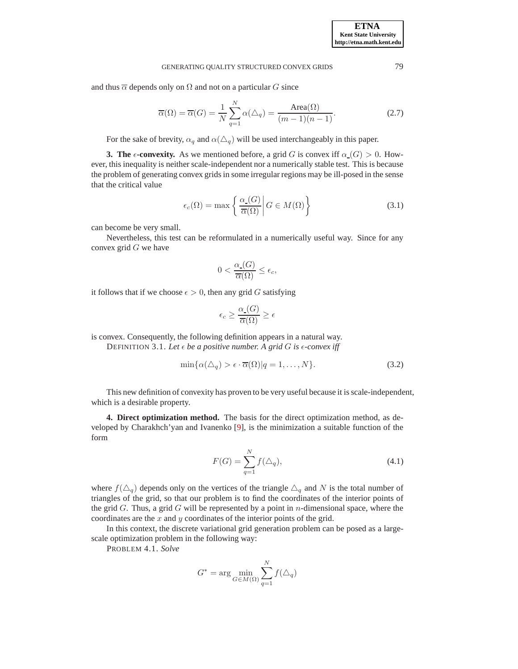and thus  $\overline{\alpha}$  depends only on  $\Omega$  and not on a particular G since

$$
\overline{\alpha}(\Omega) = \overline{\alpha}(G) = \frac{1}{N} \sum_{q=1}^{N} \alpha(\triangle_q) = \frac{\text{Area}(\Omega)}{(m-1)(n-1)}.
$$
\n(2.7)

For the sake of brevity,  $\alpha_q$  and  $\alpha(\Delta_q)$  will be used interchangeably in this paper.

<span id="page-3-0"></span>**3. The**  $\epsilon$ **-convexity.** As we mentioned before, a grid G is convex iff  $\alpha(G) > 0$ . However, this inequality is neither scale-independent nor a numerically stable test. This is because the problem of generating convex grids in some irregular regions may be ill-posed in the sense that the critical value

$$
\epsilon_c(\Omega) = \max\left\{ \left. \frac{\alpha_{\text{-}}(G)}{\overline{\alpha}(\Omega)} \right| G \in M(\Omega) \right\} \tag{3.1}
$$

can become be very small.

Nevertheless, this test can be reformulated in a numerically useful way. Since for any convex grid  $G$  we have

$$
0 < \frac{\alpha_{\text{-}}(G)}{\overline{\alpha}(\Omega)} \le \epsilon_c,
$$

it follows that if we choose  $\epsilon > 0$ , then any grid G satisfying

$$
\epsilon_c \ge \frac{\alpha_-(G)}{\overline{\alpha}(\Omega)} \ge \epsilon
$$

is convex. Consequently, the following definition appears in a natural way. DEFINITION 3.1. Let  $\epsilon$  *be a positive number. A grid G is*  $\epsilon$ *-convex iff* 

<span id="page-3-2"></span>
$$
\min\{\alpha(\triangle_q) > \epsilon \cdot \overline{\alpha}(\Omega)|q = 1, \dots, N\}.
$$
\n(3.2)

This new definition of convexity has proven to be very useful because it is scale-independent, which is a desirable property.

<span id="page-3-1"></span>**4. Direct optimization method.** The basis for the direct optimization method, as developed by Charakhch'yan and Ivanenko [\[9\]](#page-12-2), is the minimization a suitable function of the form

<span id="page-3-4"></span>
$$
F(G) = \sum_{q=1}^{N} f(\Delta_q),
$$
\n(4.1)

where  $f(\Delta_q)$  depends only on the vertices of the triangle  $\Delta_q$  and N is the total number of triangles of the grid, so that our problem is to find the coordinates of the interior points of the grid  $G$ . Thus, a grid  $G$  will be represented by a point in *n*-dimensional space, where the coordinates are the  $x$  and  $y$  coordinates of the interior points of the grid.

In this context, the discrete variational grid generation problem can be posed as a largescale optimization problem in the following way:

PROBLEM 4.1. *Solve*

<span id="page-3-3"></span>
$$
G^* = \arg\min_{G \in M(\Omega)} \sum_{q=1}^N f(\triangle_q)
$$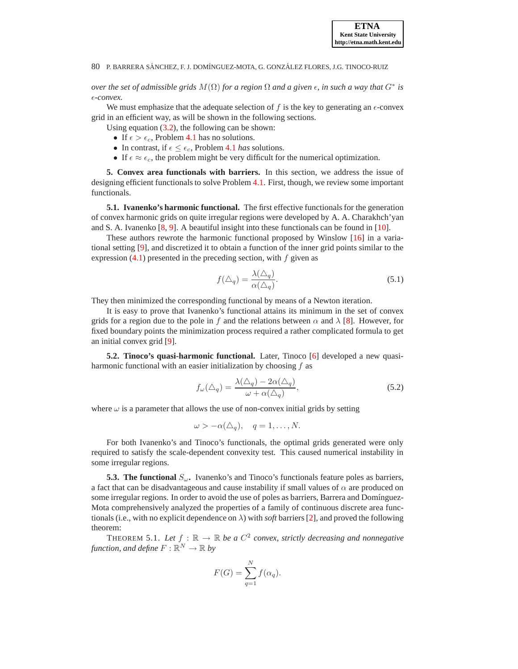*over the set of admissible grids*  $M(\Omega)$  *for a region*  $\Omega$  *and a given*  $\epsilon$ *, in such a way that*  $G^*$  *is* ǫ*-convex.*

We must emphasize that the adequate selection of f is the key to generating an  $\epsilon$ -convex grid in an efficient way, as will be shown in the following sections.

Using equation [\(3.2\)](#page-3-2), the following can be shown:

- If  $\epsilon > \epsilon_c$ , Problem [4.1](#page-3-3) has no solutions.
- In contrast, if  $\epsilon \leq \epsilon_c$ , Problem [4.1](#page-3-3) *has* solutions.
- If  $\epsilon \approx \epsilon_c$ , the problem might be very difficult for the numerical optimization.

<span id="page-4-0"></span>**5. Convex area functionals with barriers.** In this section, we address the issue of designing efficient functionals to solve Problem [4.1.](#page-3-3) First, though, we review some important functionals.

**5.1. Ivanenko's harmonic functional.** The first effective functionals for the generation of convex harmonic grids on quite irregular regions were developed by A. A. Charakhch'yan and S. A. Ivanenko [\[8,](#page-12-1) [9\]](#page-12-2). A beautiful insight into these functionals can be found in [\[10\]](#page-12-3).

These authors rewrote the harmonic functional proposed by Winslow [\[16\]](#page-13-0) in a variational setting [\[9\]](#page-12-2), and discretized it to obtain a function of the inner grid points similar to the expression  $(4.1)$  presented in the preceding section, with f given as

$$
f(\triangle_q) = \frac{\lambda(\triangle_q)}{\alpha(\triangle_q)}.
$$
\n(5.1)

They then minimized the corresponding functional by means of a Newton iteration.

It is easy to prove that Ivanenko's functional attains its minimum in the set of convex grids for a region due to the pole in f and the relations between  $\alpha$  and  $\lambda$  [\[8\]](#page-12-1). However, for fixed boundary points the minimization process required a rather complicated formula to get an initial convex grid [\[9\]](#page-12-2).

**5.2. Tinoco's quasi-harmonic functional.** Later, Tinoco [\[6\]](#page-12-4) developed a new quasiharmonic functional with an easier initialization by choosing  $f$  as

$$
f_{\omega}(\Delta_q) = \frac{\lambda(\Delta_q) - 2\alpha(\Delta_q)}{\omega + \alpha(\Delta_q)},
$$
\n(5.2)

where  $\omega$  is a parameter that allows the use of non-convex initial grids by setting

$$
\omega > -\alpha(\triangle_q), \quad q = 1, \dots, N.
$$

For both Ivanenko's and Tinoco's functionals, the optimal grids generated were only required to satisfy the scale-dependent convexity test. This caused numerical instability in some irregular regions.

**5.3. The functional**  $S_\omega$ . Ivanenko's and Tinoco's functionals feature poles as barriers, a fact that can be disadvantageous and cause instability if small values of  $\alpha$  are produced on some irregular regions. In order to avoid the use of poles as barriers, Barrera and Domínguez-Mota comprehensively analyzed the properties of a family of continuous discrete area functionals (i.e., with no explicit dependence on  $\lambda$ ) with *soft* barriers [\[2\]](#page-11-0), and proved the following theorem:

<span id="page-4-1"></span>THEOREM 5.1. Let  $f : \mathbb{R} \to \mathbb{R}$  be a  $C^2$  convex, strictly decreasing and nonnegative function, and define  $F: \mathbb{R}^N \rightarrow \mathbb{R}$  by

$$
F(G) = \sum_{q=1}^{N} f(\alpha_q).
$$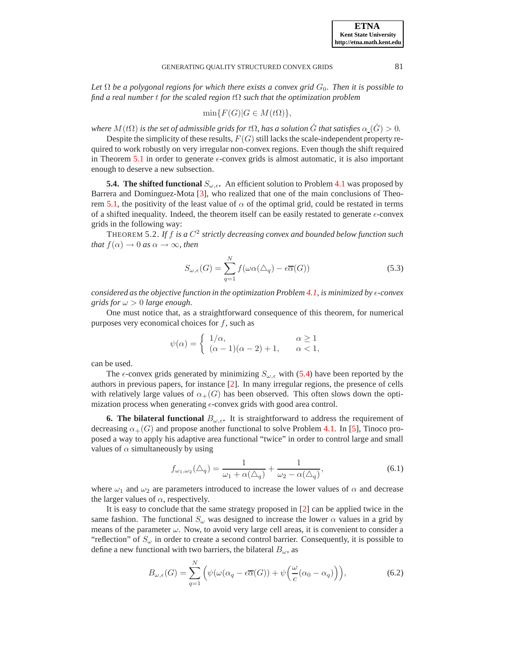Let  $\Omega$  be a polygonal regions for which there exists a convex grid  $G_0$ . Then it is possible to *find a real number* t *for the scaled region* tΩ *such that the optimization problem*

$$
\min\{F(G)|G\in M(t\Omega)\},\
$$

*where*  $M(t\Omega)$  *is the set of admissible grids for*  $t\Omega$ *, has a solution* G *that satisfies*  $\alpha(G) > 0$ *.* 

Despite the simplicity of these results,  $F(G)$  still lacks the scale-independent property required to work robustly on very irregular non-convex regions. Even though the shift required in Theorem [5.1](#page-4-1) in order to generate  $\epsilon$ -convex grids is almost automatic, it is also important enough to deserve a new subsection.

**5.4. The shifted functional**  $S_{\omega,\epsilon}$ . An efficient solution to Problem [4.1](#page-3-3) was proposed by Barrera and Domínguez-Mota [\[3\]](#page-11-2), who realized that one of the main conclusions of Theo-rem [5.1,](#page-4-1) the positivity of the least value of  $\alpha$  of the optimal grid, could be restated in terms of a shifted inequality. Indeed, the theorem itself can be easily restated to generate  $\epsilon$ -convex grids in the following way:

THEOREM 5.2. *If* f *is a* C 2 *strictly decreasing convex and bounded below function such that*  $f(\alpha) \to 0$  *as*  $\alpha \to \infty$ *, then* 

<span id="page-5-1"></span>
$$
S_{\omega,\epsilon}(G) = \sum_{q=1}^{N} f(\omega \alpha(\Delta_q) - \epsilon \overline{\alpha}(G))
$$
\n(5.3)

*considered as the objective function in the optimization Problem [4.1,](#page-3-3) is minimized by*  $\epsilon$ *-convex grids for*  $\omega > 0$  *large enough.* 

One must notice that, as a straightforward consequence of this theorem, for numerical purposes very economical choices for  $f$ , such as

$$
\psi(\alpha) = \begin{cases} 1/\alpha, & \alpha \ge 1 \\ (\alpha - 1)(\alpha - 2) + 1, & \alpha < 1, \end{cases}
$$

can be used.

The  $\epsilon$ -convex grids generated by minimizing  $S_{\omega,\epsilon}$  with [\(5.4\)](#page-5-1) have been reported by the authors in previous papers, for instance [\[2\]](#page-11-0). In many irregular regions, the presence of cells with relatively large values of  $\alpha_{+}(G)$  has been observed. This often slows down the optimization process when generating  $\epsilon$ -convex grids with good area control.

<span id="page-5-0"></span>**6. The bilateral functional**  $B_{\omega,\epsilon}$ . It is straightforward to address the requirement of decreasing  $\alpha_{+}(G)$  and propose another functional to solve Problem [4.1.](#page-3-3) In [\[5\]](#page-11-3), Tinoco proposed a way to apply his adaptive area functional "twice" in order to control large and small values of  $\alpha$  simultaneously by using

$$
f_{\omega_1,\omega_2}(\Delta_q) = \frac{1}{\omega_1 + \alpha(\Delta_q)} + \frac{1}{\omega_2 - \alpha(\Delta_q)},\tag{6.1}
$$

where  $\omega_1$  and  $\omega_2$  are parameters introduced to increase the lower values of  $\alpha$  and decrease the larger values of  $\alpha$ , respectively.

It is easy to conclude that the same strategy proposed in [\[2\]](#page-11-0) can be applied twice in the same fashion. The functional  $S_{\omega}$  was designed to increase the lower  $\alpha$  values in a grid by means of the parameter  $\omega$ . Now, to avoid very large cell areas, it is convenient to consider a "reflection" of  $S_{\omega}$  in order to create a second control barrier. Consequently, it is possible to define a new functional with two barriers, the bilateral  $B_{\omega}$ , as

<span id="page-5-2"></span>
$$
B_{\omega,\epsilon}(G) = \sum_{q=1}^{N} \left( \psi(\omega(\alpha_q - \epsilon \overline{\alpha}(G)) + \psi\left(\frac{\omega}{c}(\alpha_0 - \alpha_q)\right) \right), \tag{6.2}
$$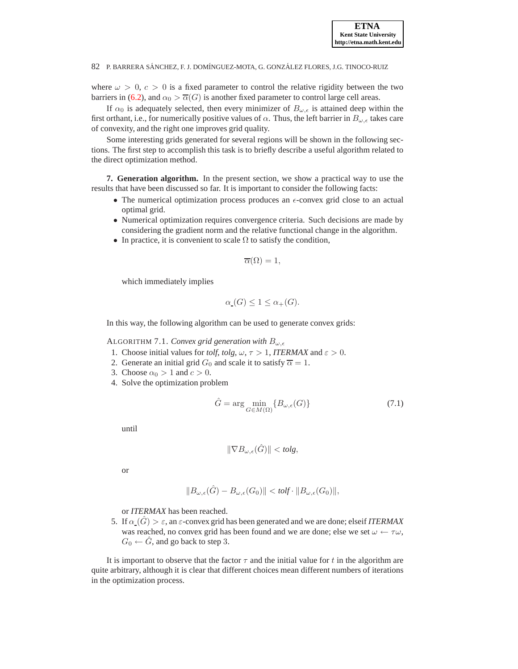where  $\omega > 0$ ,  $c > 0$  is a fixed parameter to control the relative rigidity between the two barriers in [\(6.2\)](#page-5-2), and  $\alpha_0 > \overline{\alpha}(G)$  is another fixed parameter to control large cell areas.

If  $\alpha_0$  is adequately selected, then every minimizer of  $B_{\omega,\epsilon}$  is attained deep within the first orthant, i.e., for numerically positive values of  $\alpha$ . Thus, the left barrier in  $B_{\omega,\epsilon}$  takes care of convexity, and the right one improves grid quality.

Some interesting grids generated for several regions will be shown in the following sections. The first step to accomplish this task is to briefly describe a useful algorithm related to the direct optimization method.

<span id="page-6-0"></span>**7. Generation algorithm.** In the present section, we show a practical way to use the results that have been discussed so far. It is important to consider the following facts:

- The numerical optimization process produces an  $\epsilon$ -convex grid close to an actual optimal grid.
- Numerical optimization requires convergence criteria. Such decisions are made by considering the gradient norm and the relative functional change in the algorithm.
- In practice, it is convenient to scale  $\Omega$  to satisfy the condition,

$$
\overline{\alpha}(\Omega) = 1,
$$

which immediately implies

$$
\alpha_{\mathcal{L}}(G) \le 1 \le \alpha_{+}(G).
$$

<span id="page-6-1"></span>In this way, the following algorithm can be used to generate convex grids:

ALGORITHM 7.1. *Convex grid generation with*  $B_{\omega,\epsilon}$ 

- 1. Choose initial values for *tolf*, *tolg*,  $\omega$ ,  $\tau > 1$ , *ITERMAX* and  $\varepsilon > 0$ .
- 2. Generate an initial grid  $G_0$  and scale it to satisfy  $\overline{\alpha} = 1$ .
- 3. Choose  $\alpha_0 > 1$  and  $c > 0$ .
- 4. Solve the optimization problem

$$
\hat{G} = \arg\min_{G \in M(\Omega)} \{ B_{\omega,\epsilon}(G) \}
$$
\n(7.1)

until

$$
\|\nabla B_{\omega,\epsilon}(\hat{G})\| < \text{tolg},
$$

or

$$
||B_{\omega,\epsilon}(\hat{G}) - B_{\omega,\epsilon}(G_0)|| < \text{tolf} \cdot ||B_{\omega,\epsilon}(G_0)||,
$$

or *ITERMAX* has been reached.

5. If  $\alpha(G) > \varepsilon$ , an  $\varepsilon$ -convex grid has been generated and we are done; elseif *ITERMAX* was reached, no convex grid has been found and we are done; else we set  $\omega \leftarrow \tau \omega$ ,  $G_0 \leftarrow G$ , and go back to step 3.

It is important to observe that the factor  $\tau$  and the initial value for t in the algorithm are quite arbitrary, although it is clear that different choices mean different numbers of iterations in the optimization process.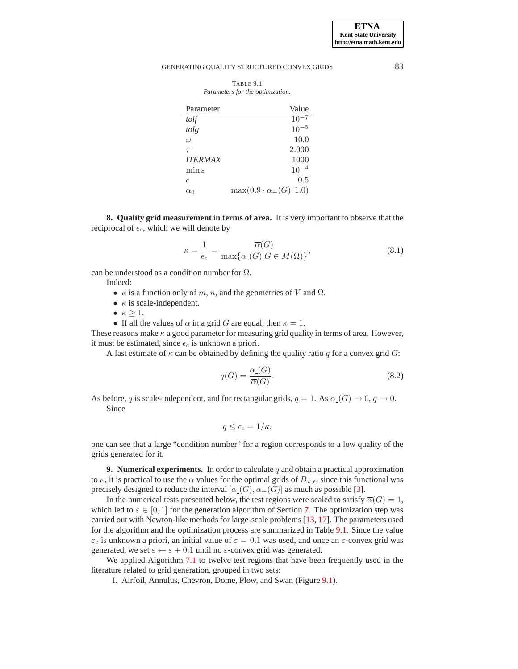<span id="page-7-2"></span>

| TABLE 9.1                        |  |  |  |
|----------------------------------|--|--|--|
| Parameters for the optimization. |  |  |  |

| Parameter          | Value                              |
|--------------------|------------------------------------|
| tolf               | $10^{\circ}$                       |
| tolg               | $10^{-5}$                          |
| $\omega$           | 10.0                               |
| $\tau$             | 2.000                              |
| <b>ITERMAX</b>     | 1000                               |
| $\min \varepsilon$ | $10^{-4}$                          |
| $\epsilon$         | 0.5                                |
| $\alpha_0$         | $\max(0.9 \cdot \alpha_+(G), 1.0)$ |

<span id="page-7-0"></span>**8. Quality grid measurement in terms of area.** It is very important to observe that the reciprocal of  $\epsilon_c$ , which we will denote by

$$
\kappa = \frac{1}{\epsilon_c} = \frac{\overline{\alpha}(G)}{\max\{\alpha_{\text{-}}(G)|G \in M(\Omega)\}},\tag{8.1}
$$

can be understood as a condition number for  $\Omega$ .

Indeed:

- $\kappa$  is a function only of m, n, and the geometries of V and  $\Omega$ .
- $\kappa$  is scale-independent.
- $\kappa > 1$ .
- If all the values of  $\alpha$  in a grid G are equal, then  $\kappa = 1$ .

These reasons make  $\kappa$  a good parameter for measuring grid quality in terms of area. However, it must be estimated, since  $\epsilon_c$  is unknown a priori.

A fast estimate of  $\kappa$  can be obtained by defining the quality ratio q for a convex grid G:

$$
q(G) = \frac{\alpha_{\text{-}}(G)}{\overline{\alpha}(G)}.
$$
\n(8.2)

As before, q is scale-independent, and for rectangular grids,  $q = 1$ . As  $\alpha(G) \to 0$ ,  $q \to 0$ . Since

$$
q \leq \epsilon_c = 1/\kappa,
$$

one can see that a large "condition number" for a region corresponds to a low quality of the grids generated for it.

<span id="page-7-1"></span>**9. Numerical experiments.** In order to calculate  $q$  and obtain a practical approximation to  $\kappa$ , it is practical to use the  $\alpha$  values for the optimal grids of  $B_{\omega,\epsilon}$ , since this functional was precisely designed to reduce the interval  $[\alpha(G), \alpha_{+}(G)]$  as much as possible [\[3\]](#page-11-2).

In the numerical tests presented below, the test regions were scaled to satisfy  $\overline{\alpha}(G) = 1$ , which led to  $\varepsilon \in [0, 1]$  for the generation algorithm of Section [7.](#page-6-0) The optimization step was carried out with Newton-like methods for large-scale problems [\[13,](#page-12-6) [17\]](#page-13-1). The parameters used for the algorithm and the optimization process are summarized in Table [9.1.](#page-7-2) Since the value  $\varepsilon_c$  is unknown a priori, an initial value of  $\varepsilon = 0.1$  was used, and once an  $\varepsilon$ -convex grid was generated, we set  $\varepsilon \leftarrow \varepsilon + 0.1$  until no  $\varepsilon$ -convex grid was generated.

We applied Algorithm [7.1](#page-6-1) to twelve test regions that have been frequently used in the literature related to grid generation, grouped in two sets:

I. Airfoil, Annulus, Chevron, Dome, Plow, and Swan (Figure [9.1\)](#page-8-0).

**ETNA Kent State University http://etna.math.kent.edu**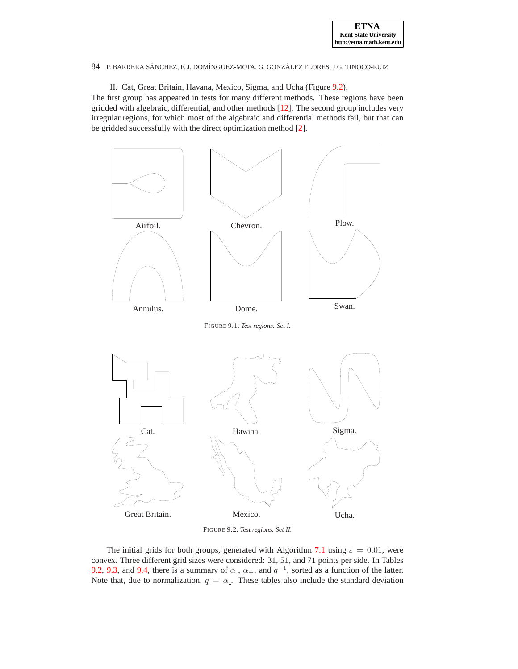

II. Cat, Great Britain, Havana, Mexico, Sigma, and Ucha (Figure [9.2\)](#page-8-1).

The first group has appeared in tests for many different methods. These regions have been gridded with algebraic, differential, and other methods [\[12\]](#page-12-7). The second group includes very irregular regions, for which most of the algebraic and differential methods fail, but that can be gridded successfully with the direct optimization method [\[2\]](#page-11-0).



<span id="page-8-1"></span><span id="page-8-0"></span>FIGURE 9.2. *Test regions. Set II.*

The initial grids for both groups, generated with Algorithm [7.1](#page-6-1) using  $\varepsilon = 0.01$ , were convex. Three different grid sizes were considered: 31, 51, and 71 points per side. In Tables [9.2,](#page-9-0) [9.3,](#page-9-1) and [9.4,](#page-10-1) there is a summary of  $\alpha$ ,  $\alpha$ <sub>+</sub>, and  $q^{-1}$ , sorted as a function of the latter. Note that, due to normalization,  $q = \alpha$ . These tables also include the standard deviation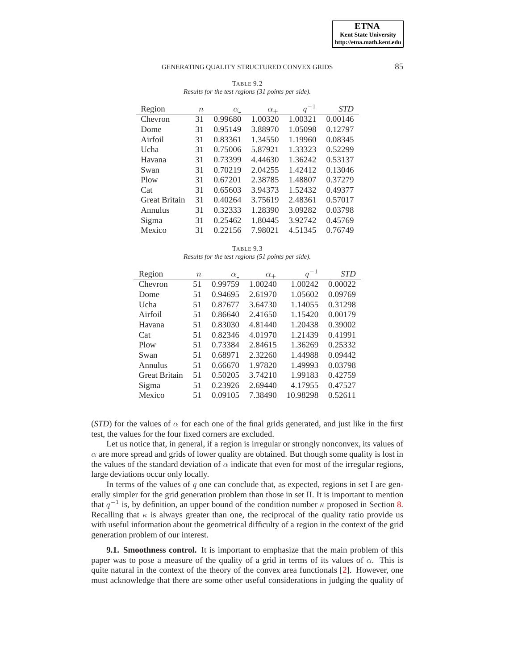| Region               | $\, n$ | $\alpha$ | $\alpha_+$ | $q^{-1}$ | <b>STD</b> |
|----------------------|--------|----------|------------|----------|------------|
| Chevron              | 31     | 0.99680  | 1.00320    | 1.00321  | 0.00146    |
| Dome                 | 31     | 0.95149  | 3.88970    | 1.05098  | 0.12797    |
| Airfoil              | 31     | 0.83361  | 1.34550    | 1.19960  | 0.08345    |
| Ucha                 | 31     | 0.75006  | 5.87921    | 1.33323  | 0.52299    |
| Havana               | 31     | 0.73399  | 4.44630    | 1.36242  | 0.53137    |
| Swan                 | 31     | 0.70219  | 2.04255    | 1.42412  | 0.13046    |
| Plow                 | 31     | 0.67201  | 2.38785    | 1.48807  | 0.37279    |
| Cat                  | 31     | 0.65603  | 3.94373    | 1.52432  | 0.49377    |
| <b>Great Britain</b> | 31     | 0.40264  | 3.75619    | 2.48361  | 0.57017    |
| Annulus              | 31     | 0.32333  | 1.28390    | 3.09282  | 0.03798    |
| Sigma                | 31     | 0.25462  | 1.80445    | 3.92742  | 0.45769    |
| Mexico               | 31     | 0.22156  | 7.98021    | 4.51345  | 0.76749    |

<span id="page-9-0"></span>TABLE 9.2 *Results for the test regions (31 points per side).*

<span id="page-9-1"></span>TABLE 9.3 *Results for the test regions (51 points per side).*

| Region               | $\boldsymbol{n}$ | $\alpha$ | $\alpha_+$ | $q^{-1}$ | STD     |
|----------------------|------------------|----------|------------|----------|---------|
| Chevron              | 51               | 0.99759  | 1.00240    | 1.00242  | 0.00022 |
| Dome                 | 51               | 0.94695  | 2.61970    | 1.05602  | 0.09769 |
| Ucha                 | 51               | 0.87677  | 3.64730    | 1.14055  | 0.31298 |
| Airfoil              | 51               | 0.86640  | 2.41650    | 1.15420  | 0.00179 |
| Havana               | 51               | 0.83030  | 4.81440    | 1.20438  | 0.39002 |
| Cat                  | 51               | 0.82346  | 4.01970    | 1.21439  | 0.41991 |
| Plow                 | 51               | 0.73384  | 2.84615    | 1.36269  | 0.25332 |
| Swan                 | 51               | 0.68971  | 2.32260    | 1.44988  | 0.09442 |
| Annulus              | 51               | 0.66670  | 1.97820    | 1.49993  | 0.03798 |
| <b>Great Britain</b> | 51               | 0.50205  | 3.74210    | 1.99183  | 0.42759 |
| Sigma                | 51               | 0.23926  | 2.69440    | 4.17955  | 0.47527 |
| Mexico               | 51               | 0.09105  | 7.38490    | 10.98298 | 0.52611 |

(*STD*) for the values of  $\alpha$  for each one of the final grids generated, and just like in the first test, the values for the four fixed corners are excluded.

Let us notice that, in general, if a region is irregular or strongly nonconvex, its values of  $\alpha$  are more spread and grids of lower quality are obtained. But though some quality is lost in the values of the standard deviation of  $\alpha$  indicate that even for most of the irregular regions, large deviations occur only locally.

In terms of the values of  $q$  one can conclude that, as expected, regions in set I are generally simpler for the grid generation problem than those in set II. It is important to mention that  $q^{-1}$  is, by definition, an upper bound of the condition number  $\kappa$  proposed in Section [8.](#page-7-0) Recalling that  $\kappa$  is always greater than one, the reciprocal of the quality ratio provide us with useful information about the geometrical difficulty of a region in the context of the grid generation problem of our interest.

**9.1. Smoothness control.** It is important to emphasize that the main problem of this paper was to pose a measure of the quality of a grid in terms of its values of  $\alpha$ . This is quite natural in the context of the theory of the convex area functionals [\[2\]](#page-11-0). However, one must acknowledge that there are some other useful considerations in judging the quality of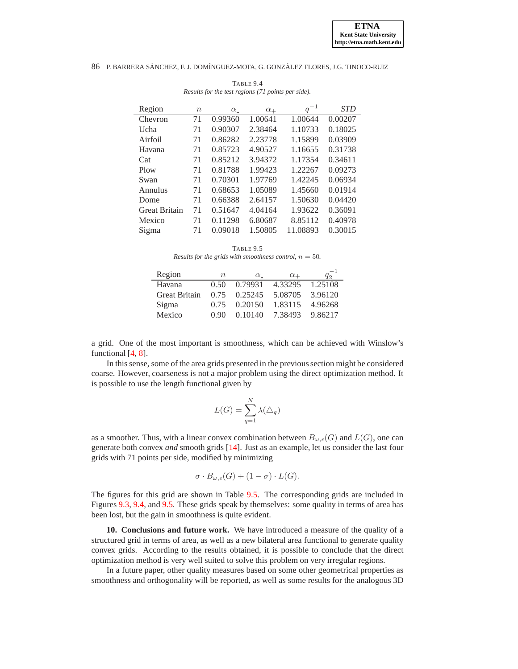| Region               | $\, n$ | $\alpha$ | $\alpha_+$ | $q^{-1}$ | <b>STD</b> |
|----------------------|--------|----------|------------|----------|------------|
| Chevron              | 71     | 0.99360  | 1.00641    | 1.00644  | 0.00207    |
| Ucha                 | 71     | 0.90307  | 2.38464    | 1.10733  | 0.18025    |
| Airfoil              | 71     | 0.86282  | 2.23778    | 1.15899  | 0.03909    |
| Havana               | 71     | 0.85723  | 4.90527    | 1.16655  | 0.31738    |
| Cat                  | 71     | 0.85212  | 3.94372    | 1.17354  | 0.34611    |
| Plow                 | 71     | 0.81788  | 1.99423    | 1.22267  | 0.09273    |
| Swan                 | 71     | 0.70301  | 1.97769    | 1.42245  | 0.06934    |
| Annulus              | 71     | 0.68653  | 1.05089    | 1.45660  | 0.01914    |
| Dome                 | 71     | 0.66388  | 2.64157    | 1.50630  | 0.04420    |
| <b>Great Britain</b> | 71     | 0.51647  | 4.04164    | 1.93622  | 0.36091    |
| Mexico               | 71     | 0.11298  | 6.80687    | 8.85112  | 0.40978    |
| Sigma                | 71     | 0.09018  | 1.50805    | 11.08893 | 0.30015    |

<span id="page-10-1"></span>TABLE 9.4 *Results for the test regions (71 points per side).*

TABLE 9.5

<span id="page-10-2"></span>*Results for the grids with smoothness control,*  $n = 50$ *.* 

| Region               | $n_{\rm c}$ | $\alpha$ | $\alpha_+$ | $q_2^{-1}$ |
|----------------------|-------------|----------|------------|------------|
| Havana               | 0.50        | 0.79931  | 4.33295    | 1.25108    |
| <b>Great Britain</b> | 0.75        | 0.25245  | 5.08705    | 3.96120    |
| Sigma                | 0.75        | 0.20150  | 1.83115    | 4.96268    |
| Mexico               | 0.90        | 0.10140  | 7.38493    | 9.86217    |

a grid. One of the most important is smoothness, which can be achieved with Winslow's functional [\[4,](#page-11-4) [8\]](#page-12-1).

In this sense, some of the area grids presented in the previous section might be considered coarse. However, coarseness is not a major problem using the direct optimization method. It is possible to use the length functional given by

$$
L(G) = \sum_{q=1}^{N} \lambda(\triangle_q)
$$

as a smoother. Thus, with a linear convex combination between  $B_{\omega,\epsilon}(G)$  and  $L(G)$ , one can generate both convex *and* smooth grids [\[14\]](#page-13-2). Just as an example, let us consider the last four grids with 71 points per side, modified by minimizing

$$
\sigma \cdot B_{\omega,\epsilon}(G) + (1 - \sigma) \cdot L(G).
$$

The figures for this grid are shown in Table [9.5.](#page-10-2) The corresponding grids are included in Figures [9.3,](#page-11-5) [9.4,](#page-12-8) and [9.5.](#page-12-9) These grids speak by themselves: some quality in terms of area has been lost, but the gain in smoothness is quite evident.

<span id="page-10-0"></span>**10. Conclusions and future work.** We have introduced a measure of the quality of a structured grid in terms of area, as well as a new bilateral area functional to generate quality convex grids. According to the results obtained, it is possible to conclude that the direct optimization method is very well suited to solve this problem on very irregular regions.

In a future paper, other quality measures based on some other geometrical properties as smoothness and orthogonality will be reported, as well as some results for the analogous 3D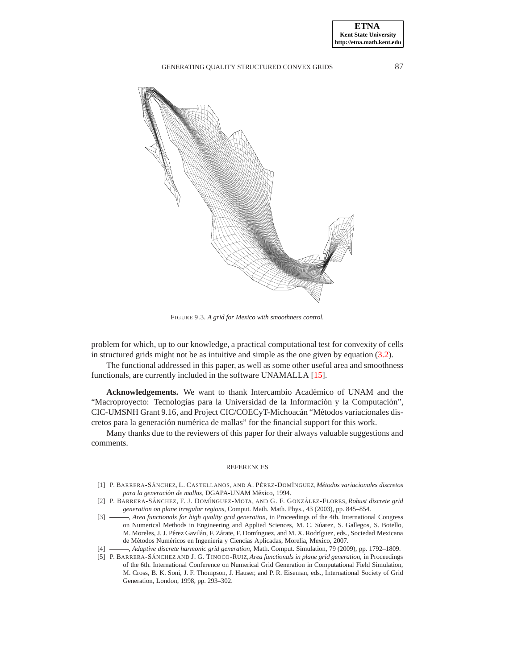

FIGURE 9.3. *A grid for Mexico with smoothness control.*

<span id="page-11-5"></span>problem for which, up to our knowledge, a practical computational test for convexity of cells in structured grids might not be as intuitive and simple as the one given by equation [\(3.2\)](#page-3-2).

The functional addressed in this paper, as well as some other useful area and smoothness functionals, are currently included in the software UNAMALLA [\[15\]](#page-13-3).

Acknowledgements. We want to thank Intercambio Académico of UNAM and the "Macroproyecto: Tecnologías para la Universidad de la Información y la Computación", CIC-UMSNH Grant 9.16, and Project CIC/COECyT-Michoacán "Métodos variacionales discretos para la generación numérica de mallas" for the financial support for this work.

Many thanks due to the reviewers of this paper for their always valuable suggestions and comments.

#### **REFERENCES**

- <span id="page-11-1"></span>[1] P. BARRERA-SÁNCHEZ, L. CASTELLANOS, AND A. PÉREZ-DOMÍNGUEZ, Métodos variacionales discretos para la generación de mallas, DGAPA-UNAM México, 1994.
- <span id="page-11-0"></span>[2] P. BARRERA-SÁNCHEZ, F. J. DOMÍNGUEZ-MOTA, AND G. F. GONZÁLEZ-FLORES, *Robust discrete grid generation on plane irregular regions*, Comput. Math. Math. Phys., 43 (2003), pp. 845–854.
- <span id="page-11-2"></span>[3]  $\rightarrow$  *Area functionals for high quality grid generation*, in Proceedings of the 4th. International Congress on Numerical Methods in Engineering and Applied Sciences, M. C. Súarez, S. Gallegos, S. Botello, M. Moreles, J. J. Pérez Gavilán, F. Zárate, F. Domínguez, and M. X. Rodríguez, eds., Sociedad Mexicana de Métodos Numéricos en Ingeniería y Ciencias Aplicadas, Morelia, Mexico, 2007.
- <span id="page-11-4"></span><span id="page-11-3"></span>[4] , *Adaptive discrete harmonic grid generation*, Math. Comput. Simulation, 79 (2009), pp. 1792–1809.
- [5] P. BARRERA-SÁNCHEZ AND J. G. TINOCO-RUIZ, *Area functionals in plane grid generation*, in Proceedings of the 6th. International Conference on Numerical Grid Generation in Computational Field Simulation, M. Cross, B. K. Soni, J. F. Thompson, J. Hauser, and P. R. Eiseman, eds., International Society of Grid Generation, London, 1998, pp. 293–302.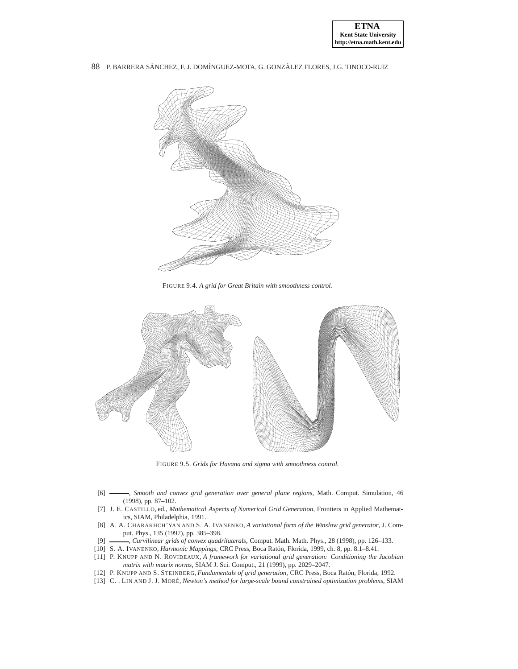



FIGURE 9.4. *A grid for Great Britain with smoothness control.*

<span id="page-12-8"></span>

FIGURE 9.5. *Grids for Havana and sigma with smoothness control.*

- <span id="page-12-9"></span><span id="page-12-4"></span>[6] , *Smooth and convex grid generation over general plane regions*, Math. Comput. Simulation, 46 (1998), pp. 87–102.
- <span id="page-12-0"></span>[7] J. E. CASTILLO, ed., *Mathematical Aspects of Numerical Grid Generation*, Frontiers in Applied Mathematics, SIAM, Philadelphia, 1991.
- <span id="page-12-1"></span>[8] A. A. CHARAKHCH'YAN AND S. A. IVANENKO, *A variational form of the Winslow grid generator*, J. Comput. Phys., 135 (1997), pp. 385–398.
- <span id="page-12-2"></span>[9] , *Curvilinear grids of convex quadrilaterals*, Comput. Math. Math. Phys., 28 (1998), pp. 126–133.
- <span id="page-12-5"></span><span id="page-12-3"></span>[10] S. A. IVANENKO, *Harmonic Mappings*, CRC Press, Boca Ratón, Florida, 1999, ch. 8, pp. 8.1-8.41.
- [11] P. KNUPP AND N. ROVIDEAUX, *A framework for variational grid generation: Conditioning the Jacobian matrix with matrix norms*, SIAM J. Sci. Comput., 21 (1999), pp. 2029–2047.
- <span id="page-12-7"></span><span id="page-12-6"></span>[12] P. KNUPP AND S. STEINBERG, *Fundamentals of grid generation*, CRC Press, Boca Ratón, Florida, 1992.
- [13] C. . LIN AND J. J. MORE´, *Newton's method for large-scale bound constrained optimization problems*, SIAM